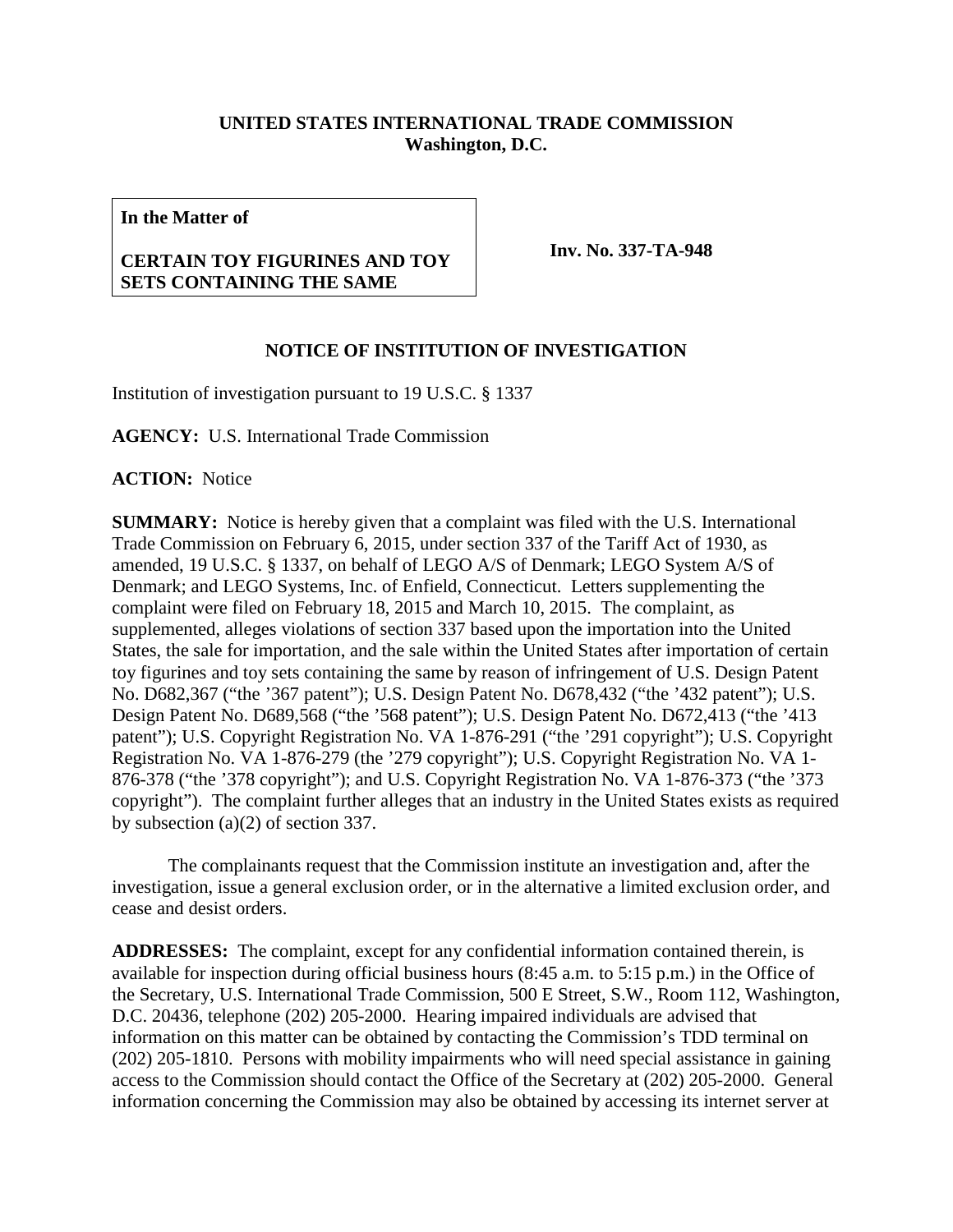## **UNITED STATES INTERNATIONAL TRADE COMMISSION Washington, D.C.**

**In the Matter of**

## **CERTAIN TOY FIGURINES AND TOY SETS CONTAINING THE SAME**

**Inv. No. 337-TA-948**

## **NOTICE OF INSTITUTION OF INVESTIGATION**

Institution of investigation pursuant to 19 U.S.C. § 1337

**AGENCY:** U.S. International Trade Commission

**ACTION:** Notice

**SUMMARY:** Notice is hereby given that a complaint was filed with the U.S. International Trade Commission on February 6, 2015, under section 337 of the Tariff Act of 1930, as amended, 19 U.S.C. § 1337, on behalf of LEGO A/S of Denmark; LEGO System A/S of Denmark; and LEGO Systems, Inc. of Enfield, Connecticut. Letters supplementing the complaint were filed on February 18, 2015 and March 10, 2015. The complaint, as supplemented, alleges violations of section 337 based upon the importation into the United States, the sale for importation, and the sale within the United States after importation of certain toy figurines and toy sets containing the same by reason of infringement of U.S. Design Patent No. D682,367 ("the '367 patent"); U.S. Design Patent No. D678,432 ("the '432 patent"); U.S. Design Patent No. D689,568 ("the '568 patent"); U.S. Design Patent No. D672,413 ("the '413 patent"); U.S. Copyright Registration No. VA 1-876-291 ("the '291 copyright"); U.S. Copyright Registration No. VA 1-876-279 (the '279 copyright"); U.S. Copyright Registration No. VA 1- 876-378 ("the '378 copyright"); and U.S. Copyright Registration No. VA 1-876-373 ("the '373 copyright"). The complaint further alleges that an industry in the United States exists as required by subsection (a)(2) of section 337.

The complainants request that the Commission institute an investigation and, after the investigation, issue a general exclusion order, or in the alternative a limited exclusion order, and cease and desist orders.

**ADDRESSES:** The complaint, except for any confidential information contained therein, is available for inspection during official business hours (8:45 a.m. to 5:15 p.m.) in the Office of the Secretary, U.S. International Trade Commission, 500 E Street, S.W., Room 112, Washington, D.C. 20436, telephone (202) 205-2000. Hearing impaired individuals are advised that information on this matter can be obtained by contacting the Commission's TDD terminal on (202) 205-1810. Persons with mobility impairments who will need special assistance in gaining access to the Commission should contact the Office of the Secretary at (202) 205-2000. General information concerning the Commission may also be obtained by accessing its internet server at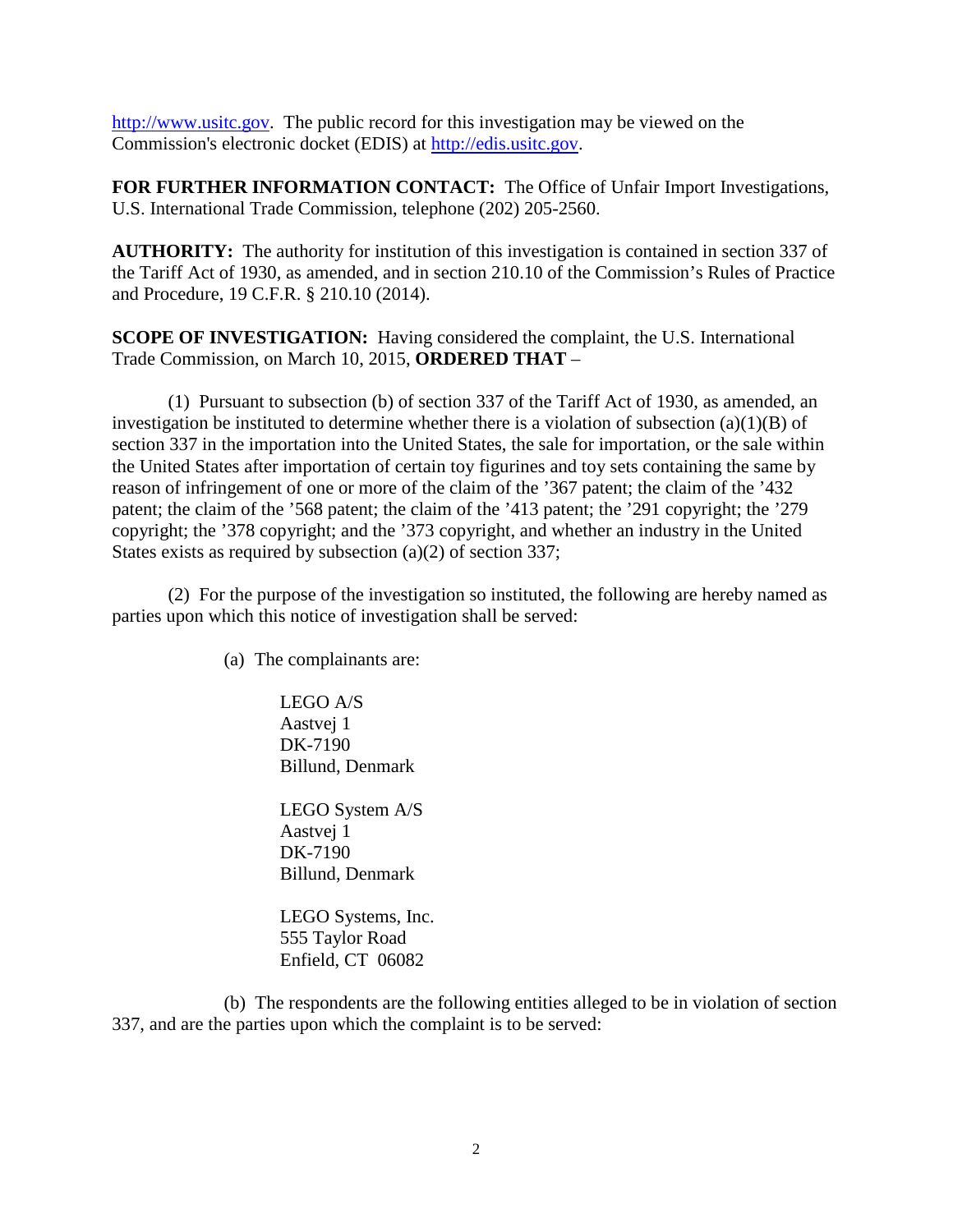[http://www.usitc.gov.](http://www.usitc.gov/) The public record for this investigation may be viewed on the Commission's electronic docket (EDIS) at [http://edis.usitc.gov.](http://edis.usitc.gov/)

**FOR FURTHER INFORMATION CONTACT:** The Office of Unfair Import Investigations, U.S. International Trade Commission, telephone (202) 205-2560.

**AUTHORITY:** The authority for institution of this investigation is contained in section 337 of the Tariff Act of 1930, as amended, and in section 210.10 of the Commission's Rules of Practice and Procedure, 19 C.F.R. § 210.10 (2014).

**SCOPE OF INVESTIGATION:** Having considered the complaint, the U.S. International Trade Commission, on March 10, 2015, **ORDERED THAT** –

(1) Pursuant to subsection (b) of section 337 of the Tariff Act of 1930, as amended, an investigation be instituted to determine whether there is a violation of subsection  $(a)(1)(B)$  of section 337 in the importation into the United States, the sale for importation, or the sale within the United States after importation of certain toy figurines and toy sets containing the same by reason of infringement of one or more of the claim of the '367 patent; the claim of the '432 patent; the claim of the '568 patent; the claim of the '413 patent; the '291 copyright; the '279 copyright; the '378 copyright; and the '373 copyright, and whether an industry in the United States exists as required by subsection (a)(2) of section 337;

(2) For the purpose of the investigation so instituted, the following are hereby named as parties upon which this notice of investigation shall be served:

(a) The complainants are:

LEGO A/S Aastvej 1 DK-7190 Billund, Denmark

LEGO System A/S Aastvej 1 DK-7190 Billund, Denmark

LEGO Systems, Inc. 555 Taylor Road Enfield, CT 06082

(b) The respondents are the following entities alleged to be in violation of section 337, and are the parties upon which the complaint is to be served: